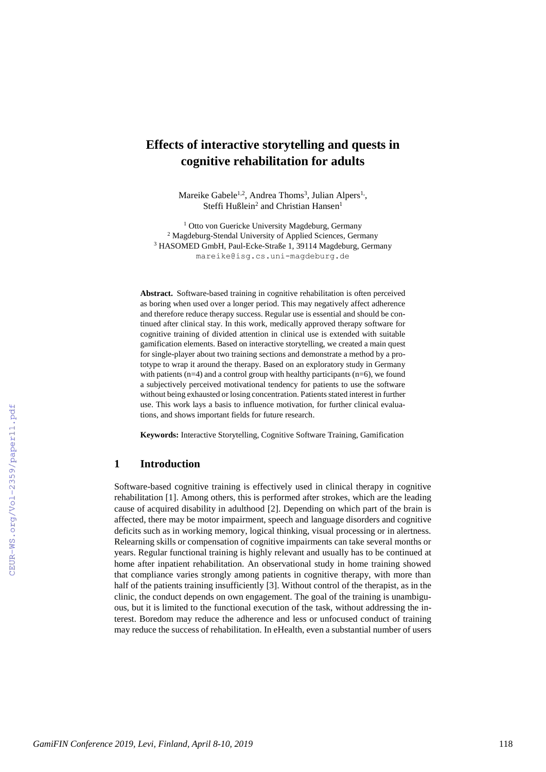# **Effects of interactive storytelling and quests in cognitive rehabilitation for adults**

Mareike Gabele<sup>1,2</sup>, Andrea Thoms<sup>3</sup>, Julian Alpers<sup>1,</sup>, Steffi Hußlein<sup>2</sup> and Christian Hansen<sup>1</sup>

<sup>1</sup> Otto von Guericke University Magdeburg, Germany <sup>2</sup> Magdeburg-Stendal University of Applied Sciences, Germany <sup>3</sup> HASOMED GmbH, Paul-Ecke-Straße 1, 39114 Magdeburg, Germany mareike@isg.cs.uni-magdeburg.de

**Abstract.** Software-based training in cognitive rehabilitation is often perceived as boring when used over a longer period. This may negatively affect adherence and therefore reduce therapy success. Regular use is essential and should be continued after clinical stay. In this work, medically approved therapy software for cognitive training of divided attention in clinical use is extended with suitable gamification elements. Based on interactive storytelling, we created a main quest for single-player about two training sections and demonstrate a method by a prototype to wrap it around the therapy. Based on an exploratory study in Germany with patients (n=4) and a control group with healthy participants (n=6), we found a subjectively perceived motivational tendency for patients to use the software without being exhausted or losing concentration. Patients stated interest in further use. This work lays a basis to influence motivation, for further clinical evaluations, and shows important fields for future research.

**Keywords:** Interactive Storytelling, Cognitive Software Training, Gamification

### **1 Introduction**

Software-based cognitive training is effectively used in clinical therapy in cognitive rehabilitation [\[1\]](#page--1-0). Among others, this is performed after strokes, which are the leading cause of acquired disability in adulthood [\[2\]](#page--1-1). Depending on which part of the brain is affected, there may be motor impairment, speech and language disorders and cognitive deficits such as in working memory, logical thinking, visual processing or in alertness. Relearning skills or compensation of cognitive impairments can take several months or years. Regular functional training is highly relevant and usually has to be continued at home after inpatient rehabilitation. An observational study in home training showed that compliance varies strongly among patients in cognitive therapy, with more than half of the patients training insufficiently [\[3\]](#page--1-2). Without control of the therapist, as in the clinic, the conduct depends on own engagement. The goal of the training is unambiguous, but it is limited to the functional execution of the task, without addressing the interest. Boredom may reduce the adherence and less or unfocused conduct of training may reduce the success of rehabilitation. In eHealth, even a substantial number of users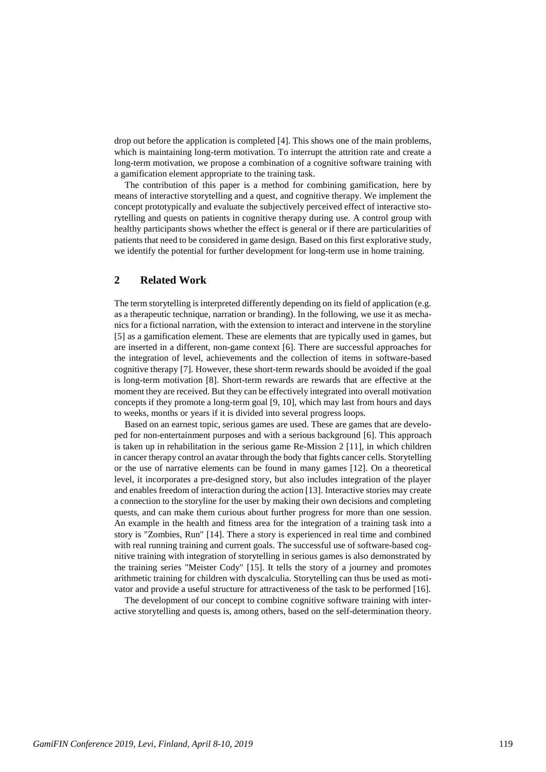drop out before the application is completed [\[4\]](#page-10-0). This shows one of the main problems, which is maintaining long-term motivation. To interrupt the attrition rate and create a long-term motivation, we propose a combination of a cognitive software training with a gamification element appropriate to the training task.

The contribution of this paper is a method for combining gamification, here by means of interactive storytelling and a quest, and cognitive therapy. We implement the concept prototypically and evaluate the subjectively perceived effect of interactive storytelling and quests on patients in cognitive therapy during use. A control group with healthy participants shows whether the effect is general or if there are particularities of patients that need to be considered in game design. Based on this first explorative study, we identify the potential for further development for long-term use in home training.

## **2 Related Work**

The term storytelling is interpreted differently depending on its field of application (e.g. as a therapeutic technique, narration or branding). In the following, we use it as mechanics for a fictional narration, with the extension to interact and intervene in the storyline [\[5\]](#page-10-1) as a gamification element. These are elements that are typically used in games, but are inserted in a different, non-game context [\[6\]](#page-10-2). There are successful approaches for the integration of level, achievements and the collection of items in software-based cognitive therapy [\[7\]](#page-10-3). However, these short-term rewards should be avoided if the goal is long-term motivation [\[8\]](#page-10-4). Short-term rewards are rewards that are effective at the moment they are received. But they can be effectively integrated into overall motivation concepts if they promote a long-term goal [\[9,](#page-10-5) [10\]](#page-10-6), which may last from hours and days to weeks, months or years if it is divided into several progress loops.

Based on an earnest topic, serious games are used. These are games that are developed for non-entertainment purposes and with a serious background [\[6\]](#page-10-2). This approach is taken up in rehabilitation in the serious game Re-Mission 2 [\[11\]](#page-10-7), in which children in cancer therapy control an avatar through the body that fights cancer cells. Storytelling or the use of narrative elements can be found in many games [\[12\]](#page-10-8). On a theoretical level, it incorporates a pre-designed story, but also includes integration of the player and enables freedom of interaction during the action [\[13\]](#page-11-0). Interactive stories may create a connection to the storyline for the user by making their own decisions and completing quests, and can make them curious about further progress for more than one session. An example in the health and fitness area for the integration of a training task into a story is "Zombies, Run" [\[14\]](#page-11-1). There a story is experienced in real time and combined with real running training and current goals. The successful use of software-based cognitive training with integration of storytelling in serious games is also demonstrated by the training series "Meister Cody" [\[15\]](#page-11-2). It tells the story of a journey and promotes arithmetic training for children with dyscalculia. Storytelling can thus be used as motivator and provide a useful structure for attractiveness of the task to be performed [\[16\]](#page-11-3).

The development of our concept to combine cognitive software training with interactive storytelling and quests is, among others, based on the self-determination theory.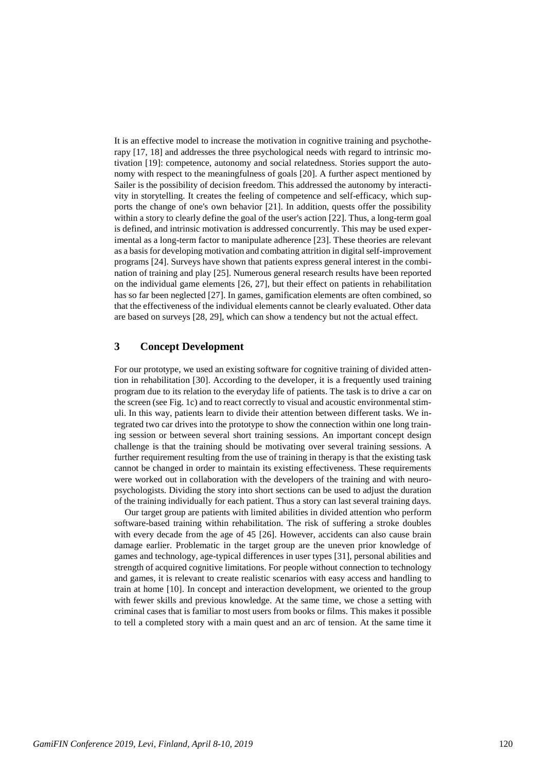It is an effective model to increase the motivation in cognitive training and psychotherapy [\[17,](#page-11-4) [18\]](#page-11-5) and addresses the three psychological needs with regard to intrinsic motivation [\[19\]](#page-11-6): competence, autonomy and social relatedness. Stories support the autonomy with respect to the meaningfulness of goals [\[20\]](#page-11-7). A further aspect mentioned by Sailer is the possibility of decision freedom. This addressed the autonomy by interactivity in storytelling. It creates the feeling of competence and self-efficacy, which supports the change of one's own behavior [\[21\]](#page-11-8). In addition, quests offer the possibility within a story to clearly define the goal of the user's action [\[22\]](#page-11-9). Thus, a long-term goal is defined, and intrinsic motivation is addressed concurrently. This may be used experimental as a long-term factor to manipulate adherence [\[23\]](#page-11-10). These theories are relevant as a basis for developing motivation and combating attrition in digital self-improvement programs [\[24\]](#page-11-11). Surveys have shown that patients express general interest in the combination of training and play [\[25\]](#page-11-12). Numerous general research results have been reported on the individual game elements [\[26,](#page-11-13) [27\]](#page-11-14), but their effect on patients in rehabilitation has so far been neglected [\[27\]](#page-11-14). In games, gamification elements are often combined, so that the effectiveness of the individual elements cannot be clearly evaluated. Other data are based on surveys [\[28,](#page-11-15) [29\]](#page-11-16), which can show a tendency but not the actual effect.

## **3 Concept Development**

For our prototype, we used an existing software for cognitive training of divided attention in rehabilitation [\[30\]](#page-11-17). According to the developer, it is a frequently used training program due to its relation to the everyday life of patients. The task is to drive a car on the screen (see Fig. 1c) and to react correctly to visual and acoustic environmental stimuli. In this way, patients learn to divide their attention between different tasks. We integrated two car drives into the prototype to show the connection within one long training session or between several short training sessions. An important concept design challenge is that the training should be motivating over several training sessions. A further requirement resulting from the use of training in therapy is that the existing task cannot be changed in order to maintain its existing effectiveness. These requirements were worked out in collaboration with the developers of the training and with neuropsychologists. Dividing the story into short sections can be used to adjust the duration of the training individually for each patient. Thus a story can last several training days.

Our target group are patients with limited abilities in divided attention who perform software-based training within rehabilitation. The risk of suffering a stroke doubles with every decade from the age of 45 [\[26\]](#page-11-13). However, accidents can also cause brain damage earlier. Problematic in the target group are the uneven prior knowledge of games and technology, age-typical differences in user types [\[31\]](#page-11-18), personal abilities and strength of acquired cognitive limitations. For people without connection to technology and games, it is relevant to create realistic scenarios with easy access and handling to train at home [\[10\]](#page-10-6). In concept and interaction development, we oriented to the group with fewer skills and previous knowledge. At the same time, we chose a setting with criminal cases that is familiar to most users from books or films. This makes it possible to tell a completed story with a main quest and an arc of tension. At the same time it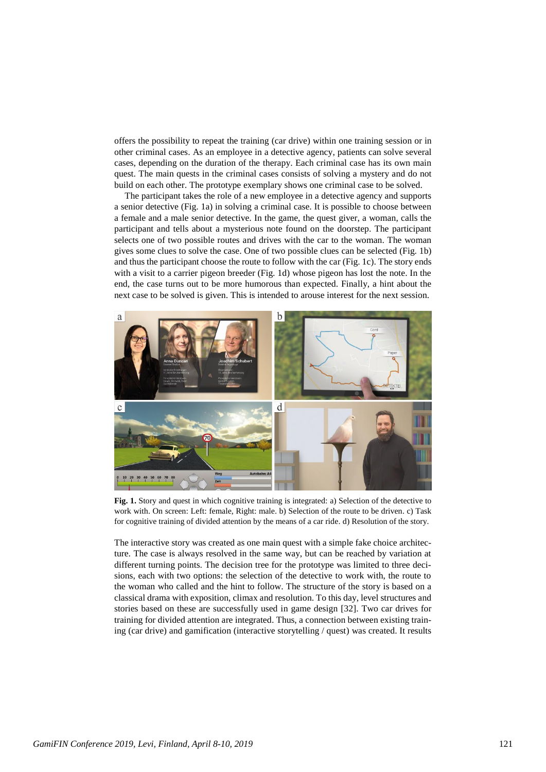offers the possibility to repeat the training (car drive) within one training session or in other criminal cases. As an employee in a detective agency, patients can solve several cases, depending on the duration of the therapy. Each criminal case has its own main quest. The main quests in the criminal cases consists of solving a mystery and do not build on each other. The prototype exemplary shows one criminal case to be solved.

The participant takes the role of a new employee in a detective agency and supports a senior detective (Fig. 1a) in solving a criminal case. It is possible to choose between a female and a male senior detective. In the game, the quest giver, a woman, calls the participant and tells about a mysterious note found on the doorstep. The participant selects one of two possible routes and drives with the car to the woman. The woman gives some clues to solve the case. One of two possible clues can be selected (Fig. 1b) and thus the participant choose the route to follow with the car (Fig. 1c). The story ends with a visit to a carrier pigeon breeder (Fig. 1d) whose pigeon has lost the note. In the end, the case turns out to be more humorous than expected. Finally, a hint about the next case to be solved is given. This is intended to arouse interest for the next session.



**Fig. 1.** Story and quest in which cognitive training is integrated: a) Selection of the detective to work with. On screen: Left: female, Right: male. b) Selection of the route to be driven. c) Task for cognitive training of divided attention by the means of a car ride. d) Resolution of the story.

The interactive story was created as one main quest with a simple fake choice architecture. The case is always resolved in the same way, but can be reached by variation at different turning points. The decision tree for the prototype was limited to three decisions, each with two options: the selection of the detective to work with, the route to the woman who called and the hint to follow. The structure of the story is based on a classical drama with exposition, climax and resolution. To this day, level structures and stories based on these are successfully used in game design [\[32\]](#page-11-19). Two car drives for training for divided attention are integrated. Thus, a connection between existing training (car drive) and gamification (interactive storytelling / quest) was created. It results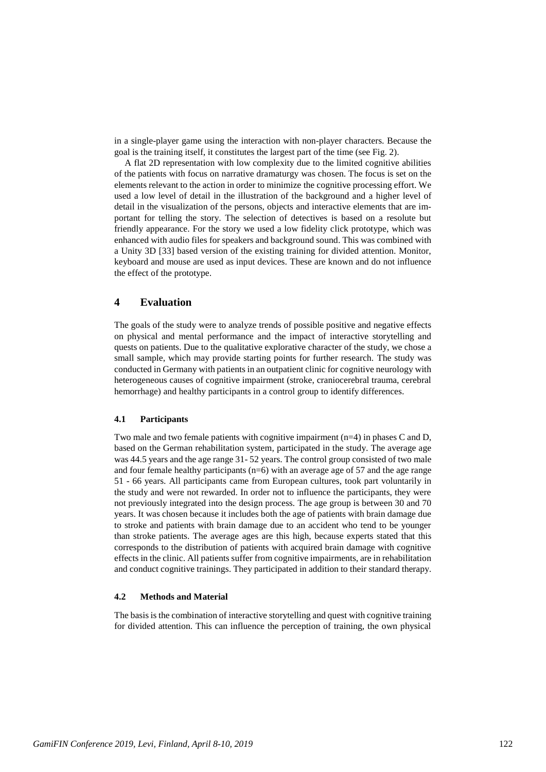in a single-player game using the interaction with non-player characters. Because the goal is the training itself, it constitutes the largest part of the time (see Fig. 2).

A flat 2D representation with low complexity due to the limited cognitive abilities of the patients with focus on narrative dramaturgy was chosen. The focus is set on the elements relevant to the action in order to minimize the cognitive processing effort. We used a low level of detail in the illustration of the background and a higher level of detail in the visualization of the persons, objects and interactive elements that are important for telling the story. The selection of detectives is based on a resolute but friendly appearance. For the story we used a low fidelity click prototype, which was enhanced with audio files for speakers and background sound. This was combined with a Unity 3D [\[33\]](#page-11-20) based version of the existing training for divided attention. Monitor, keyboard and mouse are used as input devices. These are known and do not influence the effect of the prototype.

## **4 Evaluation**

The goals of the study were to analyze trends of possible positive and negative effects on physical and mental performance and the impact of interactive storytelling and quests on patients. Due to the qualitative explorative character of the study, we chose a small sample, which may provide starting points for further research. The study was conducted in Germany with patients in an outpatient clinic for cognitive neurology with heterogeneous causes of cognitive impairment (stroke, craniocerebral trauma, cerebral hemorrhage) and healthy participants in a control group to identify differences.

#### **4.1 Participants**

Two male and two female patients with cognitive impairment  $(n=4)$  in phases C and D, based on the German rehabilitation system, participated in the study. The average age was 44.5 years and the age range 31- 52 years. The control group consisted of two male and four female healthy participants (n=6) with an average age of 57 and the age range 51 - 66 years. All participants came from European cultures, took part voluntarily in the study and were not rewarded. In order not to influence the participants, they were not previously integrated into the design process. The age group is between 30 and 70 years. It was chosen because it includes both the age of patients with brain damage due to stroke and patients with brain damage due to an accident who tend to be younger than stroke patients. The average ages are this high, because experts stated that this corresponds to the distribution of patients with acquired brain damage with cognitive effects in the clinic. All patients suffer from cognitive impairments, are in rehabilitation and conduct cognitive trainings. They participated in addition to their standard therapy.

#### **4.2 Methods and Material**

The basis is the combination of interactive storytelling and quest with cognitive training for divided attention. This can influence the perception of training, the own physical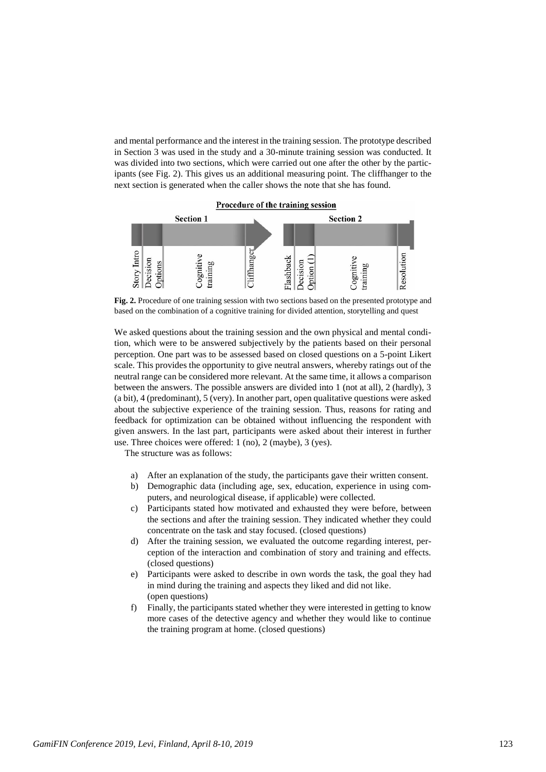and mental performance and the interest in the training session. The prototype described in Section 3 was used in the study and a 30-minute training session was conducted. It was divided into two sections, which were carried out one after the other by the participants (see Fig. 2). This gives us an additional measuring point. The cliffhanger to the next section is generated when the caller shows the note that she has found.



**Fig. 2.** Procedure of one training session with two sections based on the presented prototype and based on the combination of a cognitive training for divided attention, storytelling and quest

We asked questions about the training session and the own physical and mental condition, which were to be answered subjectively by the patients based on their personal perception. One part was to be assessed based on closed questions on a 5-point Likert scale. This provides the opportunity to give neutral answers, whereby ratings out of the neutral range can be considered more relevant. At the same time, it allows a comparison between the answers. The possible answers are divided into 1 (not at all), 2 (hardly), 3 (a bit), 4 (predominant), 5 (very). In another part, open qualitative questions were asked about the subjective experience of the training session. Thus, reasons for rating and feedback for optimization can be obtained without influencing the respondent with given answers. In the last part, participants were asked about their interest in further use. Three choices were offered: 1 (no), 2 (maybe), 3 (yes).

The structure was as follows:

- a) After an explanation of the study, the participants gave their written consent.
- b) Demographic data (including age, sex, education, experience in using computers, and neurological disease, if applicable) were collected.
- c) Participants stated how motivated and exhausted they were before, between the sections and after the training session. They indicated whether they could concentrate on the task and stay focused. (closed questions)
- d) After the training session, we evaluated the outcome regarding interest, perception of the interaction and combination of story and training and effects. (closed questions)
- e) Participants were asked to describe in own words the task, the goal they had in mind during the training and aspects they liked and did not like. (open questions)
- f) Finally, the participants stated whether they were interested in getting to know more cases of the detective agency and whether they would like to continue the training program at home. (closed questions)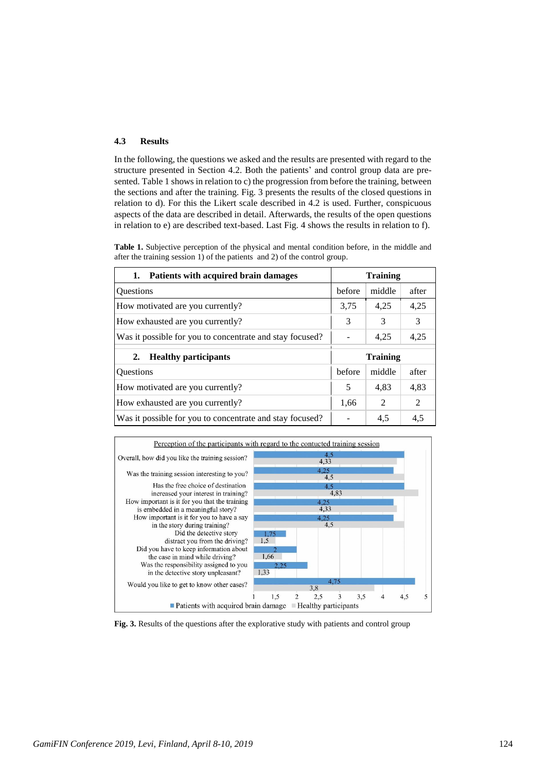### **4.3 Results**

In the following, the questions we asked and the results are presented with regard to the structure presented in Section 4.2. Both the patients' and control group data are presented. Table 1 shows in relation to c) the progression from before the training, between the sections and after the training. Fig. 3 presents the results of the closed questions in relation to d). For this the Likert scale described in 4.2 is used. Further, conspicuous aspects of the data are described in detail. Afterwards, the results of the open questions in relation to e) are described text-based. Last Fig. 4 shows the results in relation to f).

**Table 1.** Subjective perception of the physical and mental condition before, in the middle and after the training session 1) of the patients and 2) of the control group.

| 1. Patients with acquired brain damages                  | <b>Training</b> |        |                |
|----------------------------------------------------------|-----------------|--------|----------------|
| <b>Ouestions</b>                                         | before          | middle | after          |
| How motivated are you currently?                         | 3.75            | 4,25   | 4,25           |
| How exhausted are you currently?                         | 3               | 3      | 3              |
| Was it possible for you to concentrate and stay focused? |                 | 4,25   | 4,25           |
| <b>Healthy participants</b><br>2.                        | <b>Training</b> |        |                |
| <b>Ouestions</b>                                         | before          | middle | after          |
| How motivated are you currently?                         | 5               | 4,83   | 4,83           |
| How exhausted are you currently?                         | 1,66            | 2      | $\mathfrak{D}$ |
| Was it possible for you to concentrate and stay focused? |                 | 4,5    | 4,5            |



**Fig. 3.** Results of the questions after the explorative study with patients and control group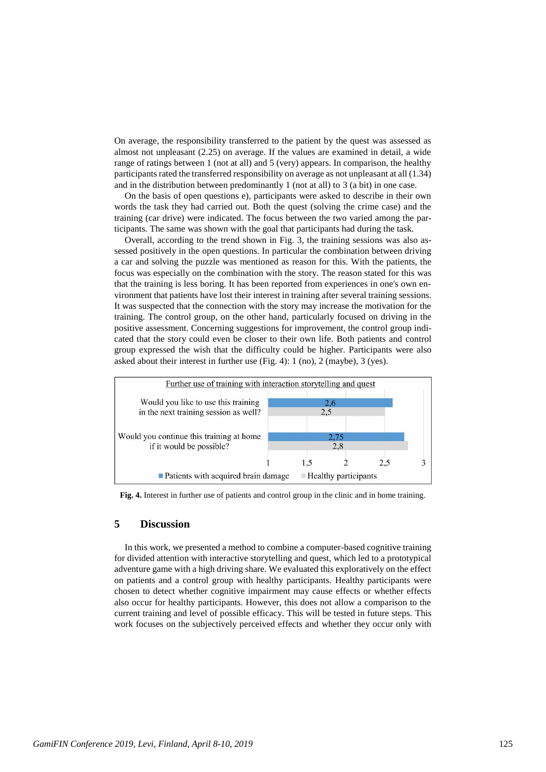On average, the responsibility transferred to the patient by the quest was assessed as almost not unpleasant (2.25) on average. If the values are examined in detail, a wide range of ratings between 1 (not at all) and 5 (very) appears. In comparison, the healthy participants rated the transferred responsibility on average as not unpleasant at all (1.34) and in the distribution between predominantly 1 (not at all) to 3 (a bit) in one case.

On the basis of open questions e), participants were asked to describe in their own words the task they had carried out. Both the quest (solving the crime case) and the training (car drive) were indicated. The focus between the two varied among the participants. The same was shown with the goal that participants had during the task.

Overall, according to the trend shown in Fig. 3, the training sessions was also assessed positively in the open questions. In particular the combination between driving a car and solving the puzzle was mentioned as reason for this. With the patients, the focus was especially on the combination with the story. The reason stated for this was that the training is less boring. It has been reported from experiences in one's own environment that patients have lost their interest in training after several training sessions. It was suspected that the connection with the story may increase the motivation for the training. The control group, on the other hand, particularly focused on driving in the positive assessment. Concerning suggestions for improvement, the control group indicated that the story could even be closer to their own life. Both patients and control group expressed the wish that the difficulty could be higher. Participants were also asked about their interest in further use (Fig. 4): 1 (no), 2 (maybe), 3 (yes).



**Fig. 4.** Interest in further use of patients and control group in the clinic and in home training.

## **5 Discussion**

In this work, we presented a method to combine a computer-based cognitive training for divided attention with interactive storytelling and quest, which led to a prototypical adventure game with a high driving share. We evaluated this exploratively on the effect on patients and a control group with healthy participants. Healthy participants were chosen to detect whether cognitive impairment may cause effects or whether effects also occur for healthy participants. However, this does not allow a comparison to the current training and level of possible efficacy. This will be tested in future steps. This work focuses on the subjectively perceived effects and whether they occur only with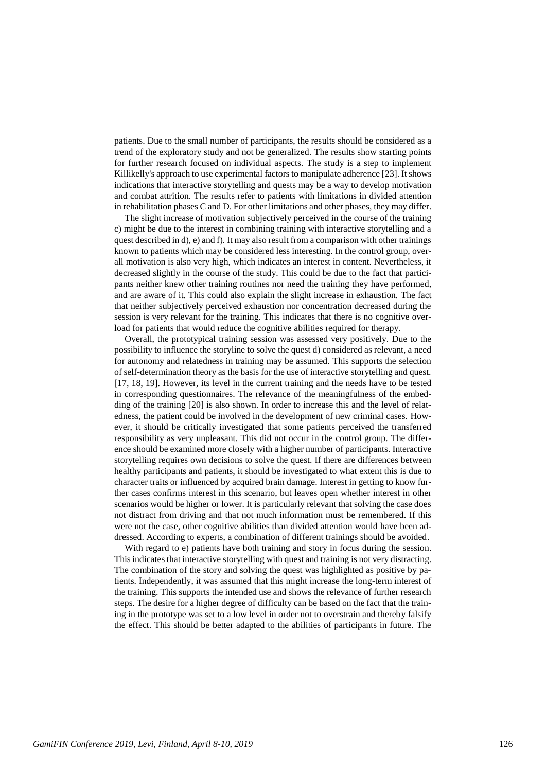patients. Due to the small number of participants, the results should be considered as a trend of the exploratory study and not be generalized. The results show starting points for further research focused on individual aspects. The study is a step to implement Killikelly's approach to use experimental factors to manipulate adherence [\[23\]](#page-11-10). It shows indications that interactive storytelling and quests may be a way to develop motivation and combat attrition. The results refer to patients with limitations in divided attention in rehabilitation phases C and D. For other limitations and other phases, they may differ.

The slight increase of motivation subjectively perceived in the course of the training c) might be due to the interest in combining training with interactive storytelling and a quest described in d),  $e$ ) and f). It may also result from a comparison with other trainings known to patients which may be considered less interesting. In the control group, overall motivation is also very high, which indicates an interest in content. Nevertheless, it decreased slightly in the course of the study. This could be due to the fact that participants neither knew other training routines nor need the training they have performed, and are aware of it. This could also explain the slight increase in exhaustion. The fact that neither subjectively perceived exhaustion nor concentration decreased during the session is very relevant for the training. This indicates that there is no cognitive overload for patients that would reduce the cognitive abilities required for therapy.

Overall, the prototypical training session was assessed very positively. Due to the possibility to influence the storyline to solve the quest d) considered as relevant, a need for autonomy and relatedness in training may be assumed. This supports the selection of self-determination theory as the basis for the use of interactive storytelling and quest. [\[17,](#page-11-4) [18,](#page-11-5) [19\]](#page-11-6). However, its level in the current training and the needs have to be tested in corresponding questionnaires. The relevance of the meaningfulness of the embedding of the training [\[20\]](#page-11-7) is also shown. In order to increase this and the level of relatedness, the patient could be involved in the development of new criminal cases. However, it should be critically investigated that some patients perceived the transferred responsibility as very unpleasant. This did not occur in the control group. The difference should be examined more closely with a higher number of participants. Interactive storytelling requires own decisions to solve the quest. If there are differences between healthy participants and patients, it should be investigated to what extent this is due to character traits or influenced by acquired brain damage. Interest in getting to know further cases confirms interest in this scenario, but leaves open whether interest in other scenarios would be higher or lower. It is particularly relevant that solving the case does not distract from driving and that not much information must be remembered. If this were not the case, other cognitive abilities than divided attention would have been addressed. According to experts, a combination of different trainings should be avoided.

With regard to e) patients have both training and story in focus during the session. This indicates that interactive storytelling with quest and training is not very distracting. The combination of the story and solving the quest was highlighted as positive by patients. Independently, it was assumed that this might increase the long-term interest of the training. This supports the intended use and shows the relevance of further research steps. The desire for a higher degree of difficulty can be based on the fact that the training in the prototype was set to a low level in order not to overstrain and thereby falsify the effect. This should be better adapted to the abilities of participants in future. The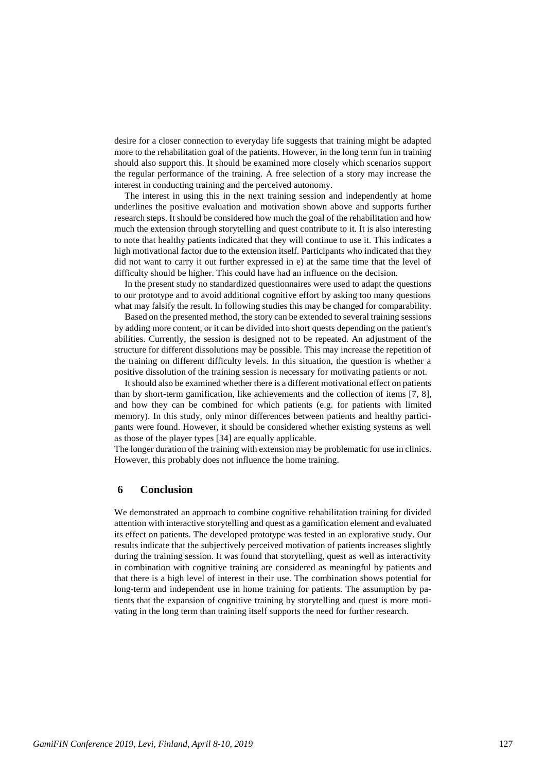desire for a closer connection to everyday life suggests that training might be adapted more to the rehabilitation goal of the patients. However, in the long term fun in training should also support this. It should be examined more closely which scenarios support the regular performance of the training. A free selection of a story may increase the interest in conducting training and the perceived autonomy.

The interest in using this in the next training session and independently at home underlines the positive evaluation and motivation shown above and supports further research steps. It should be considered how much the goal of the rehabilitation and how much the extension through storytelling and quest contribute to it. It is also interesting to note that healthy patients indicated that they will continue to use it. This indicates a high motivational factor due to the extension itself. Participants who indicated that they did not want to carry it out further expressed in e) at the same time that the level of difficulty should be higher. This could have had an influence on the decision.

In the present study no standardized questionnaires were used to adapt the questions to our prototype and to avoid additional cognitive effort by asking too many questions what may falsify the result. In following studies this may be changed for comparability.

Based on the presented method, the story can be extended to several training sessions by adding more content, or it can be divided into short quests depending on the patient's abilities. Currently, the session is designed not to be repeated. An adjustment of the structure for different dissolutions may be possible. This may increase the repetition of the training on different difficulty levels. In this situation, the question is whether a positive dissolution of the training session is necessary for motivating patients or not.

Itshould also be examined whether there is a different motivational effect on patients than by short-term gamification, like achievements and the collection of items [\[7,](#page-10-3) [8\]](#page-10-4), and how they can be combined for which patients (e.g. for patients with limited memory). In this study, only minor differences between patients and healthy participants were found. However, it should be considered whether existing systems as well as those of the player types [\[34\]](#page-11-21) are equally applicable.

The longer duration of the training with extension may be problematic for use in clinics. However, this probably does not influence the home training.

#### **Conclusion 6**

We demonstrated an approach to combine cognitive rehabilitation training for divided attention with interactive storytelling and quest as a gamification element and evaluated its effect on patients. The developed prototype was tested in an explorative study. Our results indicate that the subjectively perceived motivation of patients increases slightly during the training session. It was found that storytelling, quest as well as interactivity in combination with cognitive training are considered as meaningful by patients and that there is a high level of interest in their use. The combination shows potential for long-term and independent use in home training for patients. The assumption by patients that the expansion of cognitive training by storytelling and quest is more motivating in the long term than training itself supports the need for further research.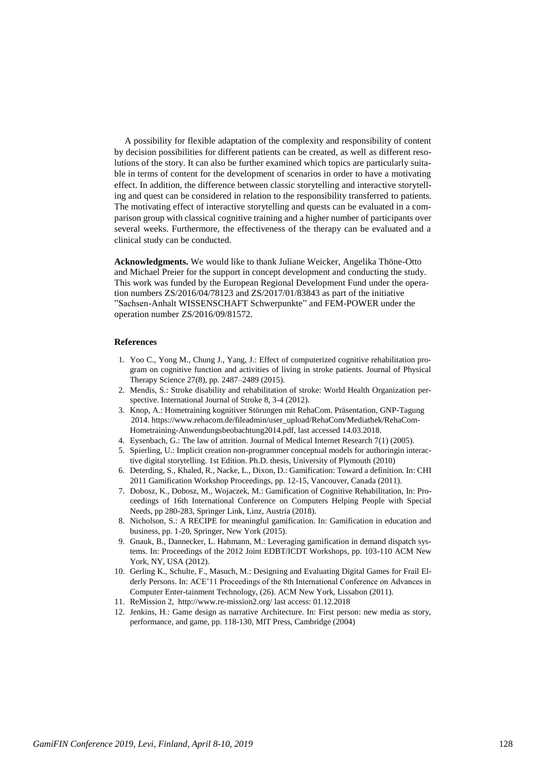A possibility for flexible adaptation of the complexity and responsibility of content by decision possibilities for different patients can be created, as well as different resolutions of the story. It can also be further examined which topics are particularly suitable in terms of content for the development of scenarios in order to have a motivating effect. In addition, the difference between classic storytelling and interactive storytelling and quest can be considered in relation to the responsibility transferred to patients. The motivating effect of interactive storytelling and quests can be evaluated in a comparison group with classical cognitive training and a higher number of participants over several weeks. Furthermore, the effectiveness of the therapy can be evaluated and a clinical study can be conducted.

**Acknowledgments.** We would like to thank Juliane Weicker, Angelika Thöne-Otto and Michael Preier for the support in concept development and conducting the study. This work was funded by the European Regional Development Fund under the operation numbers ZS/2016/04/78123 and ZS/2017/01/83843 as part of the initiative "Sachsen-Anhalt WISSENSCHAFT Schwerpunkte" and FEM-POWER under the operation number ZS/2016/09/81572.

#### **References**

- 1. Yoo C., Yong M., Chung J., Yang, J.: Effect of computerized cognitive rehabilitation program on cognitive function and activities of living in stroke patients. Journal of Physical Therapy Science 27(8), pp. 2487–2489 (2015).
- 2. Mendis, S.: Stroke disability and rehabilitation of stroke: World Health Organization perspective. International Journal of Stroke 8, 3-4 (2012).
- 3. Knop, A.: Hometraining kognitiver Störungen mit RehaCom. Präsentation, GNP-Tagung 2014[. https://www.rehacom.de/fileadmin/user\\_upload/RehaCom/Mediathek/RehaCom-](https://www.rehacom.de/fileadmin/user_upload/RehaCom/Mediathek/RehaCom-)Hometraining-Anwendungsbeobachtung2014.pdf, last accessed 14.03.2018.
- <span id="page-10-0"></span>4. Eysenbach, G.: The law of attrition. Journal of Medical Internet Research 7(1) (2005).
- <span id="page-10-1"></span>5. Spierling, U.: Implicit creation non-programmer conceptual models for authoringin interactive digital storytelling. 1st Edition. Ph.D. thesis, University of Plymouth (2010)
- <span id="page-10-2"></span>6. Deterding, S., Khaled, R., Nacke, L., Dixon, D.: Gamification: Toward a definition. In: CHI 2011 Gamification Workshop Proceedings, pp. 12-15, Vancouver, Canada (2011).
- <span id="page-10-3"></span>7. Dobosz, K., Dobosz, M., Wojaczek, M.: Gamification of Cognitive Rehabilitation, In: Proceedings of 16th International Conference on Computers Helping People with Special Needs, pp 280-283, Springer Link, Linz, Austria (2018).
- <span id="page-10-4"></span>8. Nicholson, S.: A RECIPE for meaningful gamification. In: Gamification in education and business, pp. 1-20, Springer, New York (2015).
- <span id="page-10-5"></span>9. Gnauk, B., Dannecker, L. Hahmann, M.: Leveraging gamification in demand dispatch systems. In: Proceedings of the 2012 Joint EDBT/ICDT Workshops, pp. 103-110 ACM New York, NY, USA (2012).
- <span id="page-10-6"></span>10. Gerling K., Schulte, F., Masuch, M.: Designing and Evaluating Digital Games for Frail Elderly Persons. In: ACE'11 Proceedings of the 8th International Conference on Advances in Computer Enter-tainment Technology, (26). ACM New York, Lissabon (2011).
- <span id="page-10-7"></span>11. ReMission 2,<http://www.re-mission2.org/> last access: 01.12.2018
- <span id="page-10-8"></span>12. Jenkins, H.: Game design as narrative Architecture. In: First person: new media as story, performance, and game, pp. 118-130, MIT Press, Cambridge (2004)